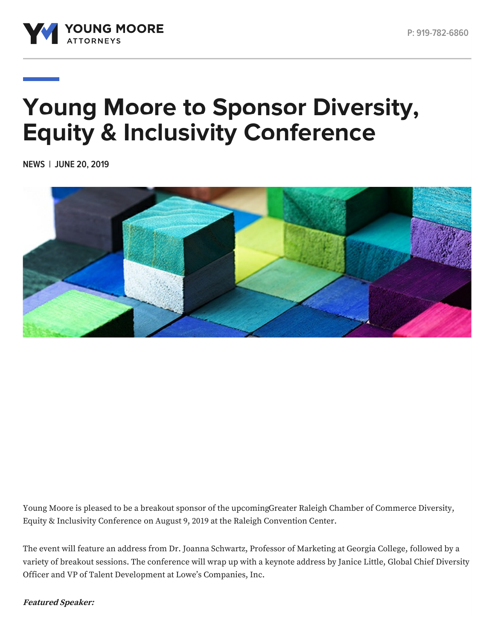

# **Young Moore to Sponsor Diversity, Equity & Inclusivity Conference**

**NEWS | JUNE 20, 2019**



Young Moore is pleased to be a breakout sponsor of the [upcomingGreater](https://web.raleighchamber.org/events/Diversity-Equity-Inclusivity-Conference-2019-1717/details) Raleigh Chamber of Commerce Diversity, Equity & Inclusivity Conference on August 9, 2019 at the Raleigh Convention Center.

The event will feature an address from Dr. Joanna Schwartz, Professor of Marketing at Georgia College, followed by a variety of breakout sessions. The conference will wrap up with a keynote address by Janice Little, Global Chief Diversity Officer and VP of Talent Development at Lowe's Companies, Inc.

**Featured Speaker:**